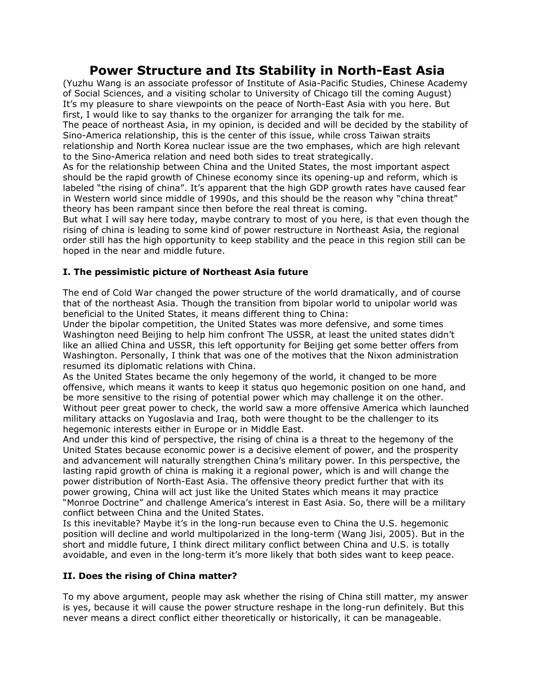# **Power Structure and Its Stability in North-East Asia**

(Yuzhu Wang is an associate professor of Institute of Asia-Pacific Studies, Chinese Academy of Social Sciences, and a visiting scholar to University of Chicago till the coming August) It's my pleasure to share viewpoints on the peace of North-East Asia with you here. But first, I would like to say thanks to the organizer for arranging the talk for me. The peace of northeast Asia, in my opinion, is decided and will be decided by the stability of Sino-America relationship, this is the center of this issue, while cross Taiwan straits relationship and North Korea nuclear issue are the two emphases, which are high relevant to the Sino-America relation and need both sides to treat strategically.

As for the relationship between China and the United States, the most important aspect should be the rapid growth of Chinese economy since its opening-up and reform, which is labeled "the rising of china". It's apparent that the high GDP growth rates have caused fear in Western world since middle of 1990s, and this should be the reason why "china threat" theory has been rampant since then before the real threat is coming.

But what I will say here today, maybe contrary to most of you here, is that even though the rising of china is leading to some kind of power restructure in Northeast Asia, the regional order still has the high opportunity to keep stability and the peace in this region still can be hoped in the near and middle future.

# **I. The pessimistic picture of Northeast Asia future**

The end of Cold War changed the power structure of the world dramatically, and of course that of the northeast Asia. Though the transition from bipolar world to unipolar world was beneficial to the United States, it means different thing to China:

Under the bipolar competition, the United States was more defensive, and some times Washington need Beijing to help him confront The USSR, at least the united states didn't like an allied China and USSR, this left opportunity for Beijing get some better offers from Washington. Personally, I think that was one of the motives that the Nixon administration resumed its diplomatic relations with China.

As the United States became the only hegemony of the world, it changed to be more offensive, which means it wants to keep it status quo hegemonic position on one hand, and be more sensitive to the rising of potential power which may challenge it on the other. Without peer great power to check, the world saw a more offensive America which launched military attacks on Yugoslavia and Iraq, both were thought to be the challenger to its hegemonic interests either in Europe or in Middle East.

And under this kind of perspective, the rising of china is a threat to the hegemony of the United States because economic power is a decisive element of power, and the prosperity and advancement will naturally strengthen China's military power. In this perspective, the lasting rapid growth of china is making it a regional power, which is and will change the power distribution of North-East Asia. The offensive theory predict further that with its power growing, China will act just like the United States which means it may practice "Monroe Doctrine" and challenge America's interest in East Asia. So, there will be a military conflict between China and the United States.

Is this inevitable? Maybe it's in the long-run because even to China the U.S. hegemonic position will decline and world multipolarized in the long-term (Wang Jisi, 2005). But in the short and middle future, I think direct military conflict between China and U.S. is totally avoidable, and even in the long-term it's more likely that both sides want to keep peace.

# **II. Does the rising of China matter?**

To my above argument, people may ask whether the rising of China still matter, my answer is yes, because it will cause the power structure reshape in the long-run definitely. But this never means a direct conflict either theoretically or historically, it can be manageable.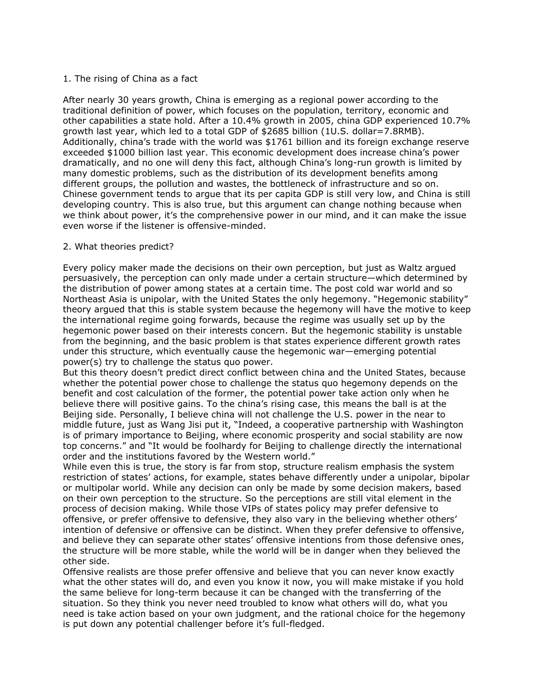### 1. The rising of China as a fact

After nearly 30 years growth, China is emerging as a regional power according to the traditional definition of power, which focuses on the population, territory, economic and other capabilities a state hold. After a 10.4% growth in 2005, china GDP experienced 10.7% growth last year, which led to a total GDP of \$2685 billion (1U.S. dollar=7.8RMB). Additionally, china's trade with the world was \$1761 billion and its foreign exchange reserve exceeded \$1000 billion last year. This economic development does increase china's power dramatically, and no one will deny this fact, although China's long-run growth is limited by many domestic problems, such as the distribution of its development benefits among different groups, the pollution and wastes, the bottleneck of infrastructure and so on. Chinese government tends to argue that its per capita GDP is still very low, and China is still developing country. This is also true, but this argument can change nothing because when we think about power, it's the comprehensive power in our mind, and it can make the issue even worse if the listener is offensive-minded.

#### 2. What theories predict?

Every policy maker made the decisions on their own perception, but just as Waltz argued persuasively, the perception can only made under a certain structure—which determined by the distribution of power among states at a certain time. The post cold war world and so Northeast Asia is unipolar, with the United States the only hegemony. "Hegemonic stability" theory argued that this is stable system because the hegemony will have the motive to keep the international regime going forwards, because the regime was usually set up by the hegemonic power based on their interests concern. But the hegemonic stability is unstable from the beginning, and the basic problem is that states experience different growth rates under this structure, which eventually cause the hegemonic war—emerging potential power(s) try to challenge the status quo power.

But this theory doesn't predict direct conflict between china and the United States, because whether the potential power chose to challenge the status quo hegemony depends on the benefit and cost calculation of the former, the potential power take action only when he believe there will positive gains. To the china's rising case, this means the ball is at the Beijing side. Personally, I believe china will not challenge the U.S. power in the near to middle future, just as Wang Jisi put it, "Indeed, a cooperative partnership with Washington is of primary importance to Beijing, where economic prosperity and social stability are now top concerns." and "It would be foolhardy for Beijing to challenge directly the international order and the institutions favored by the Western world."

While even this is true, the story is far from stop, structure realism emphasis the system restriction of states' actions, for example, states behave differently under a unipolar, bipolar or multipolar world. While any decision can only be made by some decision makers, based on their own perception to the structure. So the perceptions are still vital element in the process of decision making. While those VIPs of states policy may prefer defensive to offensive, or prefer offensive to defensive, they also vary in the believing whether others' intention of defensive or offensive can be distinct. When they prefer defensive to offensive, and believe they can separate other states' offensive intentions from those defensive ones, the structure will be more stable, while the world will be in danger when they believed the other side.

Offensive realists are those prefer offensive and believe that you can never know exactly what the other states will do, and even you know it now, you will make mistake if you hold the same believe for long-term because it can be changed with the transferring of the situation. So they think you never need troubled to know what others will do, what you need is take action based on your own judgment, and the rational choice for the hegemony is put down any potential challenger before it's full-fledged.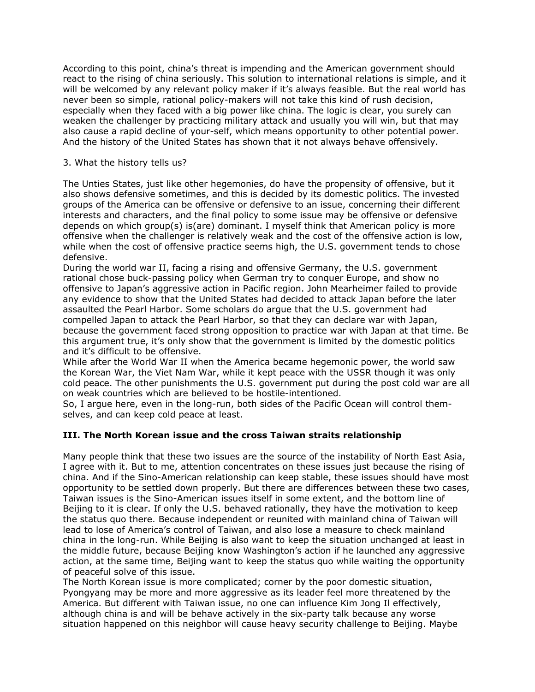According to this point, china's threat is impending and the American government should react to the rising of china seriously. This solution to international relations is simple, and it will be welcomed by any relevant policy maker if it's always feasible. But the real world has never been so simple, rational policy-makers will not take this kind of rush decision, especially when they faced with a big power like china. The logic is clear, you surely can weaken the challenger by practicing military attack and usually you will win, but that may also cause a rapid decline of your-self, which means opportunity to other potential power. And the history of the United States has shown that it not always behave offensively.

### 3. What the history tells us?

The Unties States, just like other hegemonies, do have the propensity of offensive, but it also shows defensive sometimes, and this is decided by its domestic politics. The invested groups of the America can be offensive or defensive to an issue, concerning their different interests and characters, and the final policy to some issue may be offensive or defensive depends on which group(s) is(are) dominant. I myself think that American policy is more offensive when the challenger is relatively weak and the cost of the offensive action is low, while when the cost of offensive practice seems high, the U.S. government tends to chose defensive.

During the world war II, facing a rising and offensive Germany, the U.S. government rational chose buck-passing policy when German try to conquer Europe, and show no offensive to Japan's aggressive action in Pacific region. John Mearheimer failed to provide any evidence to show that the United States had decided to attack Japan before the later assaulted the Pearl Harbor. Some scholars do argue that the U.S. government had compelled Japan to attack the Pearl Harbor, so that they can declare war with Japan, because the government faced strong opposition to practice war with Japan at that time. Be this argument true, it's only show that the government is limited by the domestic politics and it's difficult to be offensive.

While after the World War II when the America became hegemonic power, the world saw the Korean War, the Viet Nam War, while it kept peace with the USSR though it was only cold peace. The other punishments the U.S. government put during the post cold war are all on weak countries which are believed to be hostile-intentioned.

So, I argue here, even in the long-run, both sides of the Pacific Ocean will control themselves, and can keep cold peace at least.

# **III. The North Korean issue and the cross Taiwan straits relationship**

Many people think that these two issues are the source of the instability of North East Asia, I agree with it. But to me, attention concentrates on these issues just because the rising of china. And if the Sino-American relationship can keep stable, these issues should have most opportunity to be settled down properly. But there are differences between these two cases, Taiwan issues is the Sino-American issues itself in some extent, and the bottom line of Beijing to it is clear. If only the U.S. behaved rationally, they have the motivation to keep the status quo there. Because independent or reunited with mainland china of Taiwan will lead to lose of America's control of Taiwan, and also lose a measure to check mainland china in the long-run. While Beijing is also want to keep the situation unchanged at least in the middle future, because Beijing know Washington's action if he launched any aggressive action, at the same time, Beijing want to keep the status quo while waiting the opportunity of peaceful solve of this issue.

The North Korean issue is more complicated; corner by the poor domestic situation, Pyongyang may be more and more aggressive as its leader feel more threatened by the America. But different with Taiwan issue, no one can influence Kim Jong Il effectively, although china is and will be behave actively in the six-party talk because any worse situation happened on this neighbor will cause heavy security challenge to Beijing. Maybe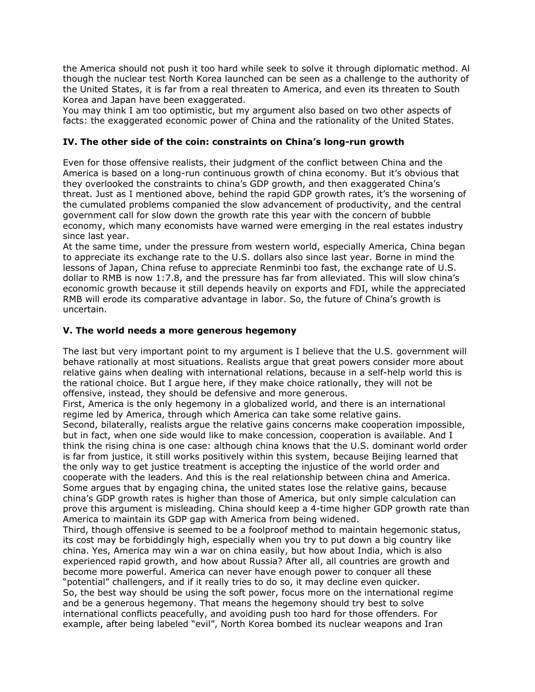the America should not push it too hard while seek to solve it through diplomatic method. Al though the nuclear test North Korea launched can be seen as a challenge to the authority of the United States, it is far from a real threaten to America, and even its threaten to South Korea and Japan have been exaggerated.

You may think I am too optimistic, but my argument also based on two other aspects of facts: the exaggerated economic power of China and the rationality of the United States.

## **IV. The other side of the coin: constraints on China's long-run growth**

Even for those offensive realists, their judgment of the conflict between China and the America is based on a long-run continuous growth of china economy. But it's obvious that they overlooked the constraints to china's GDP growth, and then exaggerated China's threat. Just as I mentioned above, behind the rapid GDP growth rates, it's the worsening of the cumulated problems companied the slow advancement of productivity, and the central government call for slow down the growth rate this year with the concern of bubble economy, which many economists have warned were emerging in the real estates industry since last year.

At the same time, under the pressure from western world, especially America, China began to appreciate its exchange rate to the U.S. dollars also since last year. Borne in mind the lessons of Japan, China refuse to appreciate Renminbi too fast, the exchange rate of U.S. dollar to RMB is now 1:7.8, and the pressure has far from alleviated. This will slow china's economic growth because it still depends heavily on exports and FDI, while the appreciated RMB will erode its comparative advantage in labor. So, the future of China's growth is uncertain.

### **V. The world needs a more generous hegemony**

The last but very important point to my argument is I believe that the U.S. government will behave rationally at most situations. Realists argue that great powers consider more about relative gains when dealing with international relations, because in a self-help world this is the rational choice. But I argue here, if they make choice rationally, they will not be offensive, instead, they should be defensive and more generous.

First, America is the only hegemony in a globalized world, and there is an international regime led by America, through which America can take some relative gains. Second, bilaterally, realists argue the relative gains concerns make cooperation impossible, but in fact, when one side would like to make concession, cooperation is available. And I think the rising china is one case: although china knows that the U.S. dominant world order is far from justice, it still works positively within this system, because Beijing learned that the only way to get justice treatment is accepting the injustice of the world order and cooperate with the leaders. And this is the real relationship between china and America. Some argues that by engaging china, the united states lose the relative gains, because china's GDP growth rates is higher than those of America, but only simple calculation can prove this argument is misleading. China should keep a 4-time higher GDP growth rate than America to maintain its GDP gap with America from being widened.

Third, though offensive is seemed to be a foolproof method to maintain hegemonic status, its cost may be forbiddingly high, especially when you try to put down a big country like china. Yes, America may win a war on china easily, but how about India, which is also experienced rapid growth, and how about Russia? After all, all countries are growth and become more powerful. America can never have enough power to conquer all these "potential" challengers, and if it really tries to do so, it may decline even quicker. So, the best way should be using the soft power, focus more on the international regime and be a generous hegemony. That means the hegemony should try best to solve international conflicts peacefully, and avoiding push too hard for those offenders. For example, after being labeled "evil", North Korea bombed its nuclear weapons and Iran